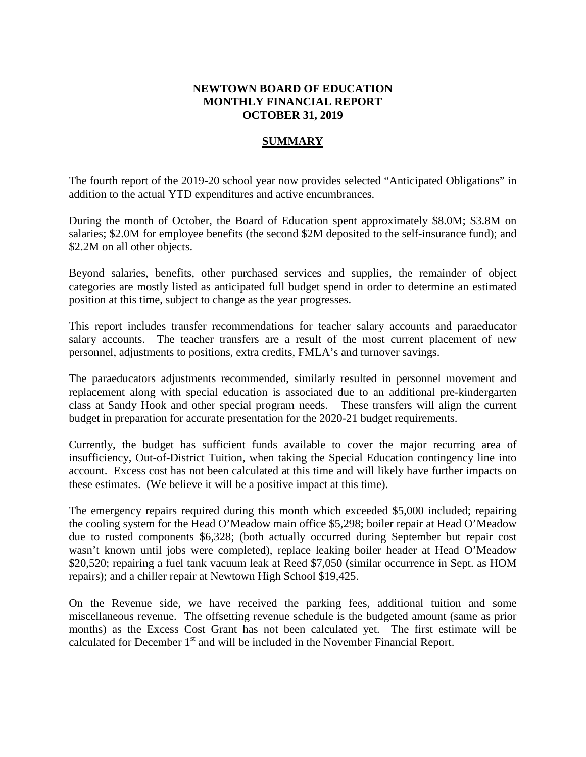# **NEWTOWN BOARD OF EDUCATION MONTHLY FINANCIAL REPORT OCTOBER 31, 2019**

# **SUMMARY**

The fourth report of the 2019-20 school year now provides selected "Anticipated Obligations" in addition to the actual YTD expenditures and active encumbrances.

During the month of October, the Board of Education spent approximately \$8.0M; \$3.8M on salaries; \$2.0M for employee benefits (the second \$2M deposited to the self-insurance fund); and \$2.2M on all other objects.

Beyond salaries, benefits, other purchased services and supplies, the remainder of object categories are mostly listed as anticipated full budget spend in order to determine an estimated position at this time, subject to change as the year progresses.

This report includes transfer recommendations for teacher salary accounts and paraeducator salary accounts. The teacher transfers are a result of the most current placement of new personnel, adjustments to positions, extra credits, FMLA's and turnover savings.

The paraeducators adjustments recommended, similarly resulted in personnel movement and replacement along with special education is associated due to an additional pre-kindergarten class at Sandy Hook and other special program needs. These transfers will align the current budget in preparation for accurate presentation for the 2020-21 budget requirements.

Currently, the budget has sufficient funds available to cover the major recurring area of insufficiency, Out-of-District Tuition, when taking the Special Education contingency line into account. Excess cost has not been calculated at this time and will likely have further impacts on these estimates. (We believe it will be a positive impact at this time).

The emergency repairs required during this month which exceeded \$5,000 included; repairing the cooling system for the Head O'Meadow main office \$5,298; boiler repair at Head O'Meadow due to rusted components \$6,328; (both actually occurred during September but repair cost wasn't known until jobs were completed), replace leaking boiler header at Head O'Meadow \$20,520; repairing a fuel tank vacuum leak at Reed \$7,050 (similar occurrence in Sept. as HOM repairs); and a chiller repair at Newtown High School \$19,425.

On the Revenue side, we have received the parking fees, additional tuition and some miscellaneous revenue. The offsetting revenue schedule is the budgeted amount (same as prior months) as the Excess Cost Grant has not been calculated yet. The first estimate will be calculated for December  $1<sup>st</sup>$  and will be included in the November Financial Report.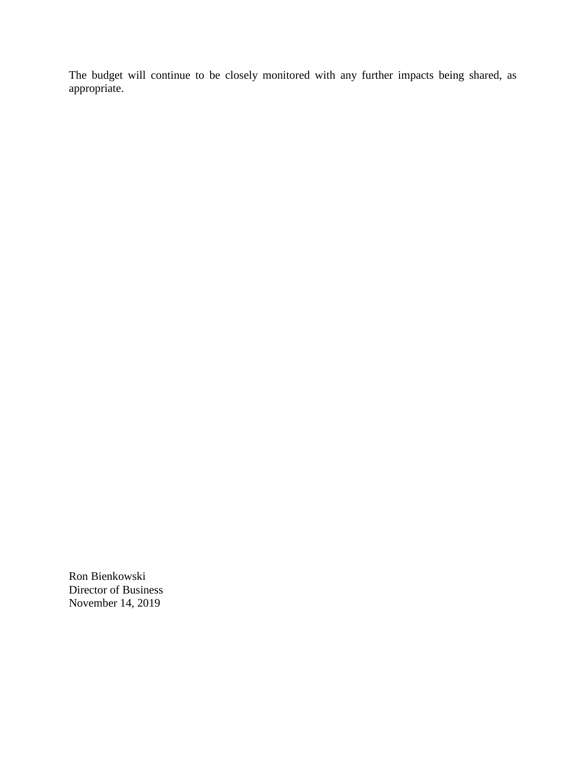The budget will continue to be closely monitored with any further impacts being shared, as appropriate.

Ron Bienkowski Director of Business November 14, 2019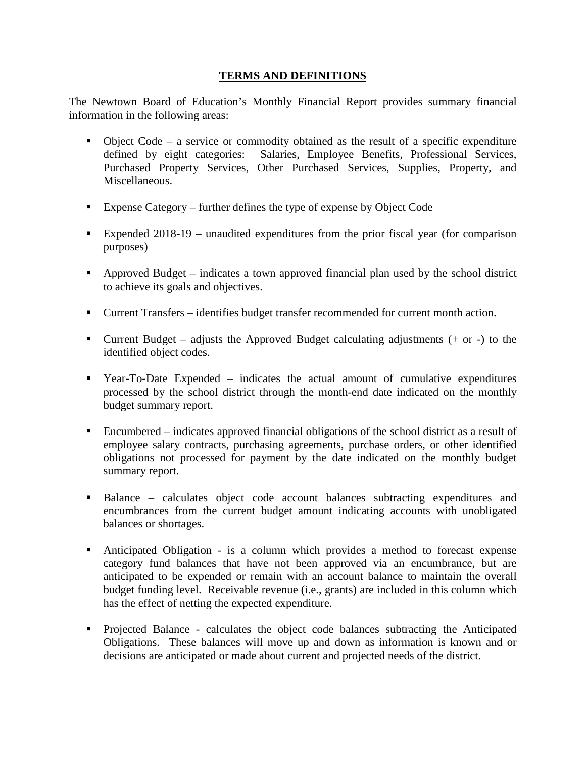# **TERMS AND DEFINITIONS**

The Newtown Board of Education's Monthly Financial Report provides summary financial information in the following areas:

- $\bullet$  Object Code a service or commodity obtained as the result of a specific expenditure defined by eight categories: Salaries, Employee Benefits, Professional Services, Purchased Property Services, Other Purchased Services, Supplies, Property, and Miscellaneous.
- Expense Category further defines the type of expense by Object Code
- Expended 2018-19 unaudited expenditures from the prior fiscal year (for comparison purposes)
- Approved Budget indicates a town approved financial plan used by the school district to achieve its goals and objectives.
- Current Transfers identifies budget transfer recommended for current month action.
- Current Budget adjusts the Approved Budget calculating adjustments  $(+)$  or  $-)$  to the identified object codes.
- Year-To-Date Expended indicates the actual amount of cumulative expenditures processed by the school district through the month-end date indicated on the monthly budget summary report.
- Encumbered indicates approved financial obligations of the school district as a result of employee salary contracts, purchasing agreements, purchase orders, or other identified obligations not processed for payment by the date indicated on the monthly budget summary report.
- Balance calculates object code account balances subtracting expenditures and encumbrances from the current budget amount indicating accounts with unobligated balances or shortages.
- Anticipated Obligation is a column which provides a method to forecast expense category fund balances that have not been approved via an encumbrance, but are anticipated to be expended or remain with an account balance to maintain the overall budget funding level. Receivable revenue (i.e., grants) are included in this column which has the effect of netting the expected expenditure.
- Projected Balance calculates the object code balances subtracting the Anticipated Obligations. These balances will move up and down as information is known and or decisions are anticipated or made about current and projected needs of the district.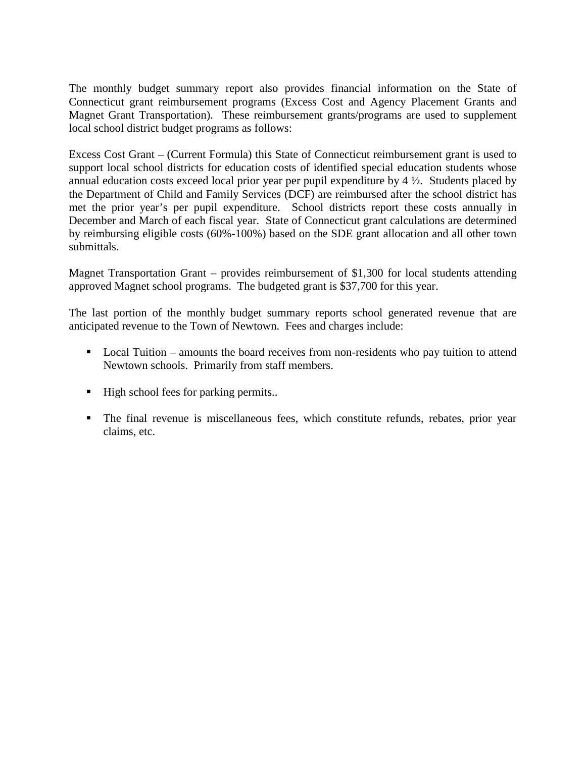The monthly budget summary report also provides financial information on the State of Connecticut grant reimbursement programs (Excess Cost and Agency Placement Grants and Magnet Grant Transportation). These reimbursement grants/programs are used to supplement local school district budget programs as follows:

Excess Cost Grant – (Current Formula) this State of Connecticut reimbursement grant is used to support local school districts for education costs of identified special education students whose annual education costs exceed local prior year per pupil expenditure by 4 ½. Students placed by the Department of Child and Family Services (DCF) are reimbursed after the school district has met the prior year's per pupil expenditure. School districts report these costs annually in December and March of each fiscal year. State of Connecticut grant calculations are determined by reimbursing eligible costs (60%-100%) based on the SDE grant allocation and all other town submittals.

Magnet Transportation Grant – provides reimbursement of \$1,300 for local students attending approved Magnet school programs. The budgeted grant is \$37,700 for this year.

The last portion of the monthly budget summary reports school generated revenue that are anticipated revenue to the Town of Newtown. Fees and charges include:

- Local Tuition amounts the board receives from non-residents who pay tuition to attend Newtown schools. Primarily from staff members.
- High school fees for parking permits..
- The final revenue is miscellaneous fees, which constitute refunds, rebates, prior year claims, etc.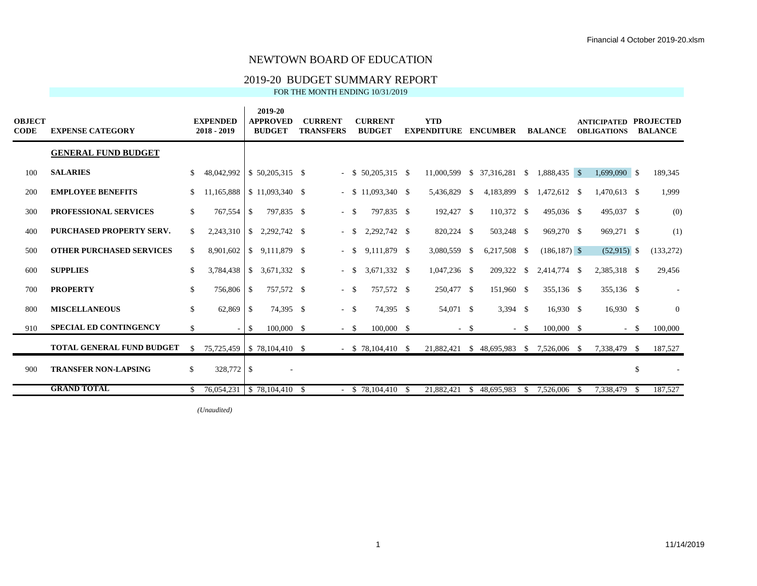#### 2019-20 BUDGET SUMMARY REPORT

FOR THE MONTH ENDING 10/31/2019

| <b>OBJECT</b><br><b>CODE</b> | <b>EXPENSE CATEGORY</b>          |     | <b>EXPENDED</b><br>$2018 - 2019$  |                          | 2019-20<br><b>APPROVED</b><br><b>BUDGET</b> | <b>CURRENT</b><br><b>TRANSFERS</b> |        | <b>CURRENT</b><br><b>BUDGET</b> |    | <b>YTD</b><br><b>EXPENDITURE</b> |          | <b>ENCUMBER</b>  |        | <b>BALANCE</b>  |    | <b>ANTICIPATED PROJECTED</b><br><b>OBLIGATIONS</b> |               | <b>BALANCE</b> |
|------------------------------|----------------------------------|-----|-----------------------------------|--------------------------|---------------------------------------------|------------------------------------|--------|---------------------------------|----|----------------------------------|----------|------------------|--------|-----------------|----|----------------------------------------------------|---------------|----------------|
|                              | <b>GENERAL FUND BUDGET</b>       |     |                                   |                          |                                             |                                    |        |                                 |    |                                  |          |                  |        |                 |    |                                                    |               |                |
| 100                          | <b>SALARIES</b>                  |     | 48,042,992 \ \ \$ 50,205,315 \ \$ |                          |                                             |                                    |        | $-$ \$ 50,205,315 \$            |    | 11,000,599                       |          | $$37,316,281$ \$ |        | 1,888,435 \$    |    | $1,699,090$ \$                                     |               | 189,345        |
| 200                          | <b>EMPLOYEE BENEFITS</b>         |     | 11,165,888                        |                          | $$11,093,340$ \ \$                          |                                    |        | $-$ \$ 11,093,340 \$            |    | 5,436,829                        | <b>S</b> | 4,183,899 \$     |        | 1,472,612 \$    |    | 1,470,613 \$                                       |               | 1,999          |
| 300                          | <b>PROFESSIONAL SERVICES</b>     | \$  | 767,554 \$                        |                          | 797,835 \$                                  |                                    | $-$ \$ | 797,835 \$                      |    | 192,427 \$                       |          | 110,372 \$       |        | 495,036 \$      |    | 495,037 \$                                         |               | (0)            |
| 400                          | PURCHASED PROPERTY SERV.         | \$. | 2,243,310                         | -S                       | 2,292,742 \$                                |                                    | $-$ \$ | 2,292,742 \$                    |    | 820,224 \$                       |          | 503,248 \$       |        | 969,270 \$      |    | 969,271 \$                                         |               | (1)            |
| 500                          | <b>OTHER PURCHASED SERVICES</b>  | \$. | 8,901,602                         |                          | $\frac{1}{2}$ 9,111,879 \$                  |                                    | $-$ \$ | 9,111,879 \$                    |    | 3,080,559 \$                     |          | 6,217,508 \$     |        | $(186, 187)$ \$ |    | $(52,915)$ \$                                      |               | (133, 272)     |
| 600                          | <b>SUPPLIES</b>                  |     | 3,784,438                         | -S                       | 3,671,332 \$                                |                                    | $-$ \$ | 3,671,332 \$                    |    | $1,047,236$ \$                   |          | 209,322 \$       |        | 2,414,774 \$    |    | 2,385,318 \$                                       |               | 29,456         |
| 700                          | <b>PROPERTY</b>                  | \$  | 756,806 \$                        |                          | 757,572 \$                                  |                                    | $-$ \$ | 757,572 \$                      |    | 250,477 \$                       |          | 151,960 \$       |        | 355,136 \$      |    | 355,136 \$                                         |               |                |
| 800                          | <b>MISCELLANEOUS</b>             | \$  | 62,869                            | $\overline{\phantom{a}}$ | 74,395 \$                                   |                                    | $-$ \$ | 74,395 \$                       |    | 54,071 \$                        |          | $3,394$ \$       |        | $16,930$ \$     |    | $16,930$ \$                                        |               | $\overline{0}$ |
| 910                          | <b>SPECIAL ED CONTINGENCY</b>    | \$  |                                   | $\overline{1}$           | 100,000 \$                                  |                                    | $-$ \$ | $100,000$ \$                    |    |                                  | $-$ \$   |                  | $-$ \$ | $100,000$ \$    |    |                                                    | $-$ \$        | 100,000        |
|                              | <b>TOTAL GENERAL FUND BUDGET</b> | S.  | 75,725,459   \$78,104,410 \$      |                          |                                             |                                    |        | $-$ \$ 78,104,410 \$            |    | 21,882,421                       |          | \$48,695,983     | - \$   | 7,526,006       | -S | 7,338,479 \$                                       |               | 187,527        |
| 900                          | <b>TRANSFER NON-LAPSING</b>      | \$  | 328,772 \$                        |                          |                                             |                                    |        |                                 |    |                                  |          |                  |        |                 |    |                                                    | $\mathbf{\$}$ |                |
|                              | <b>GRAND TOTAL</b>               |     | 76,054,231 \$78,104,410 \$        |                          |                                             |                                    |        | $-$ \$ 78,104,410               | -S | 21.882.421                       | -S       | 48.695.983       | -S     | 7,526,006       | -8 | 7,338,479                                          | -S            | 187,527        |

*(Unaudited)*  $\overline{ }$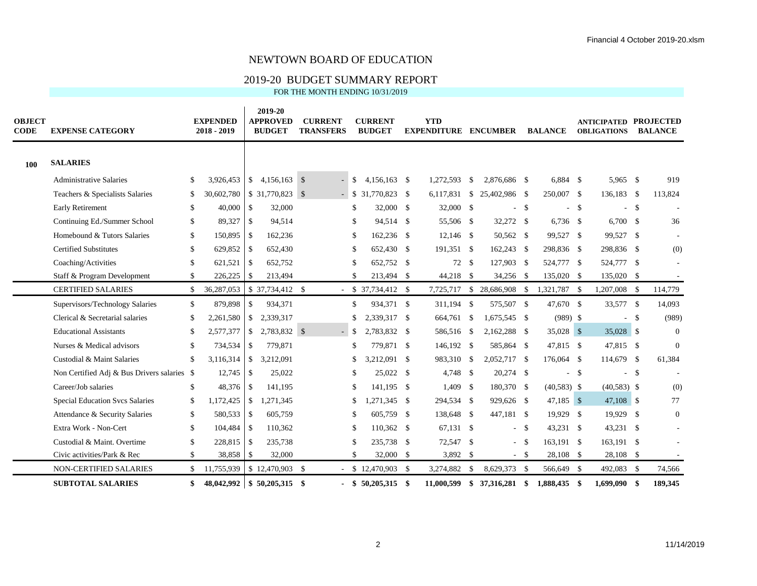#### 2019-20 BUDGET SUMMARY REPORT

| <b>OBJECT</b><br><b>CODE</b> | <b>EXPENSE CATEGORY</b>                     |               | <b>EXPENDED</b><br>2018 - 2019 |                          | 2019-20<br><b>APPROVED</b><br><b>BUDGET</b> | <b>CURRENT</b><br><b>TRANSFERS</b> |      | <b>CURRENT</b><br><b>BUDGET</b> | <b>YTD</b><br><b>EXPENDITURE</b> |              | <b>ENCUMBER</b>  |          | <b>BALANCE</b> |                    | <b>ANTICIPATED PROJECTED</b><br><b>OBLIGATIONS</b> |      | <b>BALANCE</b> |
|------------------------------|---------------------------------------------|---------------|--------------------------------|--------------------------|---------------------------------------------|------------------------------------|------|---------------------------------|----------------------------------|--------------|------------------|----------|----------------|--------------------|----------------------------------------------------|------|----------------|
| 100                          | <b>SALARIES</b>                             |               |                                |                          |                                             |                                    |      |                                 |                                  |              |                  |          |                |                    |                                                    |      |                |
|                              | <b>Administrative Salaries</b>              | \$            | 3,926,453                      |                          | $$4.156.163$ \$                             | $-$ \$                             |      | $4.156.163$ \$                  | 1.272.593                        | \$           | 2.876.686 \$     |          | $6.884$ \$     |                    | 5,965 \$                                           |      | 919            |
|                              | Teachers & Specialists Salaries             | \$            | 30,602,780   \$ 31,770,823 \$  |                          |                                             | $-$ \$                             |      | 31,770,823 \$                   | 6,117,831                        |              | $$25,402,986$ \; |          | 250,007 \$     |                    | 136,183 \$                                         |      | 113,824        |
|                              | Early Retirement                            | \$            | 40,000                         | $\vert$ \$               | 32,000                                      |                                    | \$   | 32,000 \$                       | 32,000 \$                        |              | $\sim$           | -\$      |                | $-$ \$             |                                                    | -\$  |                |
|                              | Continuing Ed./Summer School                | \$            | 89,327                         | $\overline{\phantom{a}}$ | 94,514                                      |                                    | \$   | 94,514 \$                       | 55,506 \$                        |              | 32,272 \$        |          | $6,736$ \$     |                    | $6,700$ \$                                         |      | 36             |
|                              | Homebound & Tutors Salaries                 | \$            | 150,895 \$                     |                          | 162,236                                     |                                    | \$   | 162,236 \$                      | $12,146$ \$                      |              | 50,562 \$        |          | 99,527 \$      |                    | 99,527 \$                                          |      |                |
|                              | <b>Certified Substitutes</b>                | $\mathcal{S}$ | 629,852 \$                     |                          | 652,430                                     |                                    | \$   | 652,430 \$                      | 191,351 \$                       |              | 162,243 \$       |          | 298,836 \$     |                    | 298,836 \$                                         |      | (0)            |
|                              | Coaching/Activities                         | \$            | 621,521                        | $\overline{\phantom{a}}$ | 652,752                                     |                                    | \$   | 652,752 \$                      | 72 \$                            |              | 127,903 \$       |          | 524,777 \$     |                    | 524,777 \$                                         |      |                |
|                              | Staff & Program Development                 | \$            | $226,225$ \$                   |                          | 213,494                                     |                                    | \$.  | 213,494 \$                      | 44,218 \$                        |              | 34,256 \$        |          | 135,020 \$     |                    | 135,020 \$                                         |      |                |
|                              | <b>CERTIFIED SALARIES</b>                   | \$            | 36,287,053                     |                          | $$37,734,412$ \\$                           |                                    |      | $-$ \$ 37,734,412 \$            | 7,725,717                        |              | \$28,686,908     | - \$     | 1,321,787 \$   |                    | 1,207,008                                          | - \$ | 114,779        |
|                              | Supervisors/Technology Salaries             | $\mathbb{S}$  | 879,898                        | $\mathcal{S}$            | 934,371                                     |                                    | \$   | 934,371 \$                      | 311,194 \$                       |              | 575,507 \$       |          | 47,670 \$      |                    | 33,577 \$                                          |      | 14,093         |
|                              | Clerical & Secretarial salaries             | \$            | 2,261,580                      |                          | \$2,339,317                                 |                                    | \$   | 2,339,317 \$                    | 664,761                          | -\$          | 1,675,545 \$     |          | $(989)$ \$     |                    |                                                    | - \$ | (989)          |
|                              | <b>Educational Assistants</b>               | \$            | 2,577,377                      | $\mathbb{S}$             | 2,783,832 \$                                |                                    | -S   | 2,783,832 \$                    | 586,516 \$                       |              | 2,162,288 \$     |          | 35,028 \$      |                    | 35,028 \$                                          |      | $\Omega$       |
|                              | Nurses & Medical advisors                   | \$            | 734,534                        | S                        | 779,871                                     |                                    | \$   | 779,871 \$                      | 146,192 \$                       |              | 585,864 \$       |          | 47,815 \$      |                    | 47,815 \$                                          |      | $\Omega$       |
|                              | Custodial & Maint Salaries                  | \$            |                                |                          | 3,212,091                                   |                                    | \$   | 3,212,091 \$                    | 983,310                          | \$           | 2,052,717 \$     |          | 176,064 \$     |                    | 114,679 \$                                         |      | 61,384         |
|                              | Non Certified Adj & Bus Drivers salaries \$ |               | $12,745$ \$                    |                          | 25,022                                      |                                    | \$   | 25,022 \$                       | 4,748 \$                         |              | 20,274 \$        |          | $\sim$         | $\mathbf{\hat{s}}$ |                                                    | -\$  |                |
|                              | Career/Job salaries                         | \$            | 48,376 \$                      |                          | 141,195                                     |                                    | \$   | 141,195 \$                      | 1,409 \$                         |              | 180,370 \$       |          | $(40,583)$ \$  |                    | $(40,583)$ \$                                      |      | (0)            |
|                              | <b>Special Education Svcs Salaries</b>      | \$            | 1,172,425                      | $\vert$ \$               | 1,271,345                                   |                                    | \$   | 1,271,345 \$                    | 294,534 \$                       |              | 929,626 \$       |          | $47,185$ \$    |                    | 47,108 \$                                          |      | 77             |
|                              | Attendance & Security Salaries              | \$            | 580,533 \$                     |                          | 605,759                                     |                                    | \$   | 605,759 \$                      | 138,648 \$                       |              | 447,181 \$       |          | 19,929 \$      |                    | 19,929                                             | -S   | $\Omega$       |
|                              | Extra Work - Non-Cert                       | \$            | $104,484$ \$                   |                          | 110,362                                     |                                    | \$   | 110,362 \$                      | 67,131 \$                        |              |                  | - \$     | 43,231 \$      |                    | 43,231 \$                                          |      |                |
|                              | Custodial & Maint. Overtime                 | $\mathcal{S}$ | 228,815 \$                     |                          | 235,738                                     |                                    | \$   | 235,738 \$                      | 72,547 \$                        |              |                  | $-$ \$   | 163,191 \$     |                    | 163,191 \$                                         |      |                |
|                              | Civic activities/Park & Rec                 | \$            | 38,858 \$                      |                          | 32,000                                      |                                    | \$   | 32,000 \$                       | 3,892 \$                         |              |                  | $-$ \$   | 28,108 \$      |                    | 28,108 \$                                          |      |                |
|                              | <b>NON-CERTIFIED SALARIES</b>               | \$            | 11,755,939                     |                          | $$12,470,903$ \;                            |                                    |      | $-$ \$ 12,470,903 \$            | 3,274,882                        | $\mathbb{S}$ | 8,629,373        | <b>S</b> | 566,649 \$     |                    | 492,083                                            | - \$ | 74,566         |
|                              | <b>SUBTOTAL SALARIES</b>                    | \$            | 48,042,992                     |                          | $$50,205,315$ \$                            |                                    | - \$ | 50,205,315 \$                   | 11.000.599 \$                    |              | 37,316,281 \$    |          | 1.888.435 \$   |                    | 1.699.090                                          | -\$  | 189,345        |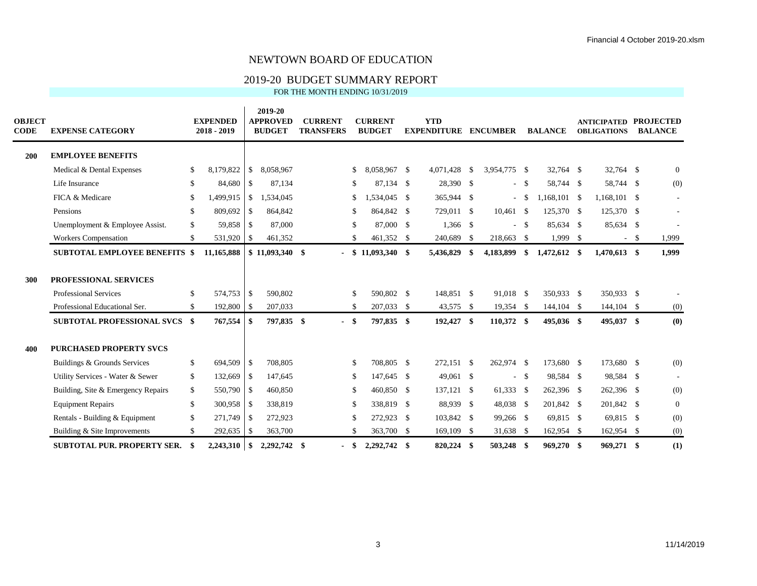#### 2019-20 BUDGET SUMMARY REPORT

| <b>OBJECT</b><br><b>CODE</b> | <b>EXPENSE CATEGORY</b>                                                                |              | <b>EXPENDED</b><br>$2018 - 2019$ |               | 2019-20<br><b>APPROVED</b><br><b>BUDGET</b> |      | <b>CURRENT</b><br><b>TRANSFERS</b> |           | <b>CURRENT</b><br><b>BUDGET</b> | <b>YTD</b><br><b>EXPENDITURE</b> |      | <b>ENCUMBER</b>        |              | <b>BALANCE</b>           | <b>ANTICIPATED</b><br><b>OBLIGATIONS</b> |        | <b>PROJECTED</b><br><b>BALANCE</b> |
|------------------------------|----------------------------------------------------------------------------------------|--------------|----------------------------------|---------------|---------------------------------------------|------|------------------------------------|-----------|---------------------------------|----------------------------------|------|------------------------|--------------|--------------------------|------------------------------------------|--------|------------------------------------|
| 200                          | <b>EMPLOYEE BENEFITS</b>                                                               |              |                                  |               |                                             |      |                                    |           |                                 |                                  |      |                        |              |                          |                                          |        |                                    |
|                              | Medical & Dental Expenses                                                              | \$           | 8,179,822                        | \$            | 8,058,967                                   |      |                                    | \$        | 8.058.967 \$                    | 4,071,428                        | -\$  | 3,954,775 \$           |              | 32,764 \$                | 32,764 \$                                |        | $\overline{0}$                     |
|                              | Life Insurance                                                                         | $\mathbb{S}$ | 84,680                           | $\mathcal{S}$ | 87.134                                      |      |                                    | \$.       | 87.134 \$                       | 28,390 \$                        |      |                        | $-$ \$       | 58,744 \$                | 58,744 \$                                |        | (0)                                |
|                              | FICA & Medicare                                                                        | \$           | 1,499,915                        | $\mathbb{S}$  | 1,534,045                                   |      |                                    | \$        | ,534,045 \$                     | 365,944 \$                       |      | ÷.                     | $\mathbf{s}$ | $1.168, 101$ \$          | $1,168,101$ \$                           |        |                                    |
|                              | Pensions                                                                               | \$           | 809,692                          | \$            | 864,842                                     |      |                                    | £.        | 864,842 \$                      | 729,011 \$                       |      | $10,461$ \$            |              | 125,370 \$               | 125,370 \$                               |        |                                    |
|                              | Unemployment & Employee Assist.                                                        | \$           | 59,858                           | <sup>\$</sup> | 87,000                                      |      |                                    | \$.       | 87,000 \$                       | 1,366 \$                         |      |                        | $-$ \$       | 85,634 \$                | 85,634 \$                                |        |                                    |
|                              | <b>Workers Compensation</b>                                                            | \$           | 531,920                          | \$            | 461,352                                     |      |                                    | \$.       | 461,352 \$                      | 240,689                          | - \$ | 218,663                | <b>S</b>     | $1,999$ \$               |                                          | $-$ \$ | 1,999                              |
|                              | <b>SUBTOTAL EMPLOYEE BENEFITS \$</b>                                                   |              | 11,165,888                       |               | $$11,093,340$ \\$                           |      |                                    |           | $$11,093,340$ \$                | 5,436,829                        | -\$  | 4,183,899              | \$           | 1,472,612 \$             | $1,470,613$ \$                           |        | 1,999                              |
| 300                          | PROFESSIONAL SERVICES<br><b>Professional Services</b><br>Professional Educational Ser. | \$<br>S.     | 574,753 \$<br>192,800            | \$            | 590,802<br>207,033                          |      |                                    | \$.<br>\$ | 590,802 \$<br>207,033 \$        | 148,851 \$<br>43,575 \$          |      | 91,018 \$<br>19,354 \$ |              | 350.933 \$<br>144,104 \$ | 350,933 \$<br>144,104 \$                 |        | (0)                                |
|                              | <b>SUBTOTAL PROFESSIONAL SVCS</b>                                                      | - \$         | 767,554                          | \$            | 797,835 \$                                  |      | - \$                               |           | 797,835 \$                      | 192,427 \$                       |      | 110,372 \$             |              | 495,036 \$               | 495,037 \$                               |        | (0)                                |
| 400                          | <b>PURCHASED PROPERTY SVCS</b>                                                         |              |                                  |               |                                             |      |                                    |           |                                 |                                  |      |                        |              |                          |                                          |        |                                    |
|                              | Buildings & Grounds Services                                                           | \$           | 694,509                          | \$            | 708,805                                     |      |                                    | \$        | 708,805 \$                      | 272,151 \$                       |      | 262,974 \$             |              | 173,680 \$               | 173,680 \$                               |        | (0)                                |
|                              | Utility Services - Water & Sewer                                                       | \$           | 132,669                          | \$            | 147.645                                     |      |                                    | \$        | 147,645 \$                      | 49,061 \$                        |      |                        | $-$ \$       | 98,584 \$                | 98,584 \$                                |        |                                    |
|                              | Building, Site & Emergency Repairs                                                     | \$           | 550,790 \$                       |               | 460,850                                     |      |                                    | \$        | 460,850 \$                      | 137,121 \$                       |      | 61,333 \$              |              | 262,396 \$               | 262,396 \$                               |        | (0)                                |
|                              | <b>Equipment Repairs</b>                                                               | \$           | 300,958                          | \$            | 338,819                                     |      |                                    | £.        | 338,819 \$                      | 88,939 \$                        |      | 48,038 \$              |              | 201,842 \$               | 201,842 \$                               |        | $\mathbf{0}$                       |
|                              | Rentals - Building & Equipment                                                         | \$           | 271,749 \$                       |               | 272,923                                     |      |                                    | \$.       | 272,923 \$                      | 103,842 \$                       |      | 99,266 \$              |              | 69,815 \$                | 69,815 \$                                |        | (0)                                |
|                              | Building & Site Improvements                                                           | S.           | 292,635                          | \$            | 363,700                                     |      |                                    | \$.       | 363,700 \$                      | 169,109 \$                       |      | 31,638                 | - \$         | 162,954 \$               | 162,954 \$                               |        | (0)                                |
|                              | <b>SUBTOTAL PUR. PROPERTY SER.</b>                                                     | £.           | 2,243,310                        | \$            | 2,292,742                                   | - \$ |                                    | -8        | 2,292,742 \$                    | 820,224 \$                       |      | 503,248                | - \$         | 969,270 \$               | 969,271 \$                               |        | (1)                                |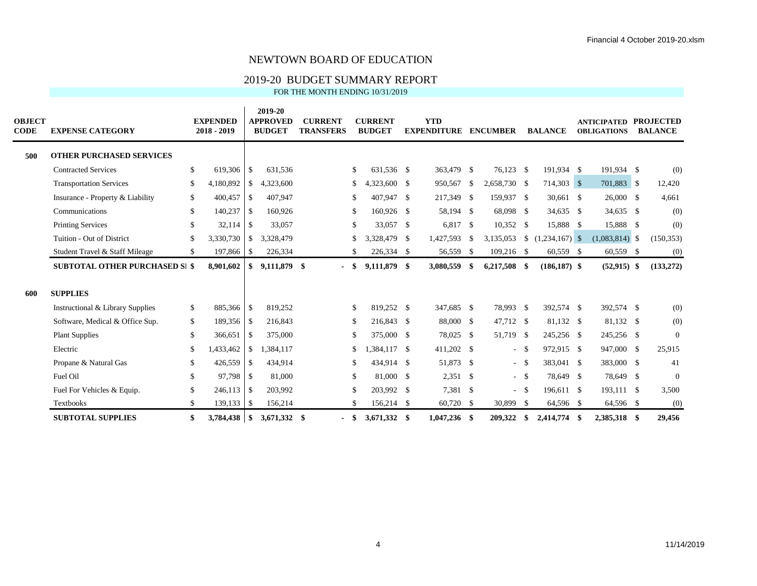#### 2019-20 BUDGET SUMMARY REPORT

| <b>OBJECT</b><br>CODE | <b>EXPENSE CATEGORY</b>               |               | <b>EXPENDED</b><br>2018 - 2019 |               | 2019-20<br><b>APPROVED</b><br><b>BUDGET</b> | <b>CURRENT</b><br><b>TRANSFERS</b> |               | <b>CURRENT</b><br><b>BUDGET</b> | <b>YTD</b><br><b>EXPENDITURE ENCUMBER</b> |     |              |      | <b>BALANCE</b>        | <b>ANTICIPATED</b><br><b>OBLIGATIONS</b> | <b>PROJECTED</b><br><b>BALANCE</b> |
|-----------------------|---------------------------------------|---------------|--------------------------------|---------------|---------------------------------------------|------------------------------------|---------------|---------------------------------|-------------------------------------------|-----|--------------|------|-----------------------|------------------------------------------|------------------------------------|
| 500                   | <b>OTHER PURCHASED SERVICES</b>       |               |                                |               |                                             |                                    |               |                                 |                                           |     |              |      |                       |                                          |                                    |
|                       | <b>Contracted Services</b>            | <sup>\$</sup> | 619,306                        | $\mathbb{S}$  | 631,536                                     |                                    | \$            | 631,536 \$                      | 363,479 \$                                |     | 76,123 \$    |      | 191,934 \$            | 191,934 \$                               | (0)                                |
|                       | <b>Transportation Services</b>        | <sup>\$</sup> | 4,180,892                      | \$            | 4,323,600                                   |                                    | \$.           | 4,323,600 \$                    | 950,567                                   | -S  | 2,658,730 \$ |      | 714,303 \$            | 701,883 \$                               | 12,420                             |
|                       | Insurance - Property & Liability      | <sup>\$</sup> | 400,457                        | $\mathcal{S}$ | 407,947                                     |                                    | \$            | 407,947 \$                      | 217,349 \$                                |     | 159,937 \$   |      | 30,661 \$             | 26,000 \$                                | 4,661                              |
|                       | Communications                        | <sup>\$</sup> | 140,237                        | l \$          | 160,926                                     |                                    | \$            | 160,926 \$                      | 58,194 \$                                 |     | 68,098 \$    |      | 34,635 \$             | 34,635 \$                                | (0)                                |
|                       | <b>Printing Services</b>              | <sup>\$</sup> | 32,114                         | -S            | 33,057                                      |                                    | \$            | 33,057 \$                       | 6,817 \$                                  |     | $10,352$ \$  |      | 15,888 \$             | 15,888 \$                                | (0)                                |
|                       | Tuition - Out of District             | <sup>\$</sup> | 3,330,730                      | <sup>S</sup>  | 3,328,479                                   |                                    | \$.           | 3,328,479 \$                    | 1,427,593                                 | -S  | 3,135,053    |      | $\frac{1,234,167}{8}$ | $(1,083,814)$ \$                         | (150, 353)                         |
|                       | Student Travel & Staff Mileage        | <sup>\$</sup> | 197,866                        | -S            | 226,334                                     |                                    | \$            | 226,334 \$                      | 56,559 \$                                 |     | $109,216$ \$ |      | 60,559 \$             | 60,559 \$                                | (0)                                |
|                       | <b>SUBTOTAL OTHER PURCHASED SI \$</b> |               | 8,901,602                      | S.            | 9,111,879 \$                                | $\blacksquare$                     | \$            | 9,111,879 \$                    | 3,080,559                                 | -\$ | 6,217,508 \$ |      | $(186, 187)$ \$       | $(52,915)$ \$                            | (133, 272)                         |
| 600                   | <b>SUPPLIES</b>                       |               |                                |               |                                             |                                    |               |                                 |                                           |     |              |      |                       |                                          |                                    |
|                       | Instructional & Library Supplies      | <sup>\$</sup> | 885,366                        | l \$          | 819.252                                     |                                    | \$            | 819.252 \$                      | 347,685 \$                                |     | 78,993 \$    |      | 392,574 \$            | 392,574 \$                               | (0)                                |
|                       | Software, Medical & Office Sup.       | \$            | 189,356 \$                     |               | 216,843                                     |                                    | \$            | 216,843 \$                      | 88,000 \$                                 |     | 47,712 \$    |      | 81,132 \$             | 81,132 \$                                | (0)                                |
|                       | <b>Plant Supplies</b>                 | <sup>\$</sup> | 366,651                        | - \$          | 375,000                                     |                                    | \$            | 375,000 \$                      | 78,025 \$                                 |     | 51,719 \$    |      | 245,256 \$            | 245,256 \$                               | $\Omega$                           |
|                       | Electric                              | <sup>\$</sup> | 1.433.462                      | \$            | 1,384,117                                   |                                    | \$            | 1,384,117 \$                    | 411,202 \$                                |     | $-$ \$       |      | 972,915 \$            | 947,000 \$                               | 25,915                             |
|                       | Propane & Natural Gas                 | <sup>\$</sup> | 426,559                        | $\mathbb{S}$  | 434,914                                     |                                    | \$            | 434,914 \$                      | 51,873 \$                                 |     | $-$ \$       |      | 383,041 \$            | 383,000 \$                               | 41                                 |
|                       | Fuel Oil                              | <sup>\$</sup> | 97,798                         | <b>S</b>      | 81,000                                      |                                    | \$            | 81,000 \$                       | $2,351$ \$                                |     | $-$ \$       |      | 78,649 \$             | 78,649 \$                                | $\overline{0}$                     |
|                       | Fuel For Vehicles & Equip.            | <sup>\$</sup> | 246,113                        | -S            | 203,992                                     |                                    | \$            | 203,992 \$                      | 7,381 \$                                  |     | $-$ \$       |      | 196,611 \$            | 193,111 \$                               | 3,500                              |
|                       | Textbooks                             | -S            | 139,133                        | -S            | 156,214                                     |                                    | <sup>\$</sup> | 156,214 \$                      | 60,720 \$                                 |     | 30,899       | - \$ | 64,596 \$             | 64,596 \$                                | (0)                                |
|                       | <b>SUBTOTAL SUPPLIES</b>              | \$            | 3,784,438                      | \$            | 3,671,332 \$                                | $\blacksquare$                     | -S            | 3,671,332 \$                    | $1,047,236$ \$                            |     | 209,322      | -S   | 2,414,774 \$          | 2,385,318 \$                             | 29,456                             |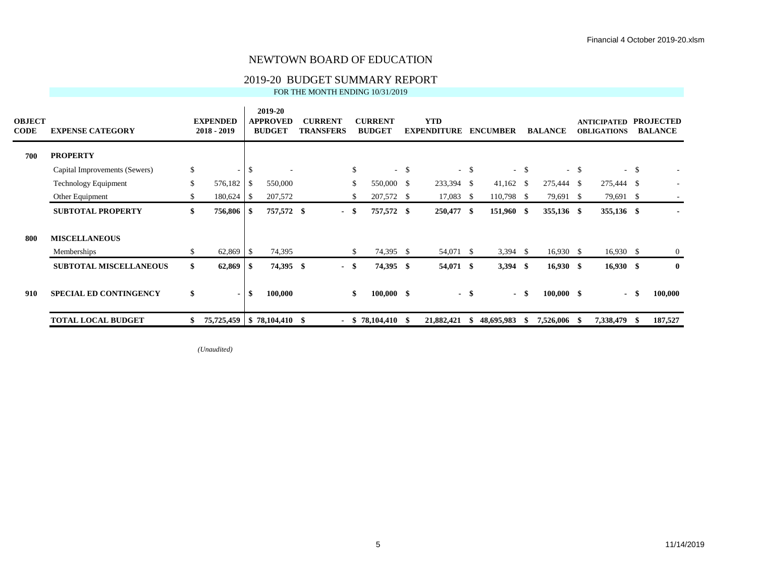#### 2019-20 BUDGET SUMMARY REPORT

FOR THE MONTH ENDING 10/31/2019

| <b>OBJECT</b><br><b>CODE</b> | <b>EXPENSE CATEGORY</b>       |     | <b>EXPENDED</b><br>$2018 - 2019$ |              | 2019-20<br><b>APPROVED</b><br><b>BUDGET</b> | <b>CURRENT</b><br><b>TRANSFERS</b> | <b>CURRENT</b><br><b>BUDGET</b> |        | <b>YTD</b><br><b>EXPENDITURE</b> |        | <b>ENCUMBER</b> |        | <b>BALANCE</b> |        | <b>ANTICIPATED</b><br><b>OBLIGATIONS</b> |        | <b>PROJECTED</b><br><b>BALANCE</b> |
|------------------------------|-------------------------------|-----|----------------------------------|--------------|---------------------------------------------|------------------------------------|---------------------------------|--------|----------------------------------|--------|-----------------|--------|----------------|--------|------------------------------------------|--------|------------------------------------|
| 700                          | <b>PROPERTY</b>               |     |                                  |              |                                             |                                    |                                 |        |                                  |        |                 |        |                |        |                                          |        |                                    |
|                              | Capital Improvements (Sewers) | \$  |                                  | $-1$ \$      |                                             |                                    | \$                              | $-$ \$ |                                  | $-$ \$ |                 | $-$ \$ |                | $-$ \$ |                                          | $-$ \$ |                                    |
|                              | <b>Technology Equipment</b>   | \$  | 576,182                          | \$           | 550,000                                     |                                    | \$<br>550,000 \$                |        | 233,394 \$                       |        | $41,162$ \$     |        | 275,444 \$     |        | 275,444 \$                               |        |                                    |
|                              | Other Equipment               | \$. | 180,624                          | $\mathbf{s}$ | 207,572                                     |                                    | \$<br>207,572 \$                |        | 17,083                           | - \$   | 110,798 \$      |        | 79,691 \$      |        | 79,691 \$                                |        |                                    |
|                              | <b>SUBTOTAL PROPERTY</b>      | \$  | 756,806 \$                       |              | 757,572 \$                                  | - \$                               | 757,572 \$                      |        | 250,477 \$                       |        | 151,960 \$      |        | 355,136 \$     |        | 355,136 \$                               |        | ۰                                  |
| 800                          | <b>MISCELLANEOUS</b>          |     |                                  |              |                                             |                                    |                                 |        |                                  |        |                 |        |                |        |                                          |        |                                    |
|                              | Memberships                   | \$  |                                  |              | 74,395                                      |                                    | \$<br>74,395 \$                 |        | 54,071 \$                        |        | $3,394$ \$      |        | $16,930$ \$    |        | $16,930$ \$                              |        | $\overline{0}$                     |
|                              | <b>SUBTOTAL MISCELLANEOUS</b> | \$  |                                  |              | 74,395 \$                                   | - \$                               | 74,395 \$                       |        | 54,071 \$                        |        | $3,394$ \$      |        | $16,930$ \$    |        | $16,930$ \$                              |        | $\mathbf{0}$                       |
| 910                          | <b>SPECIAL ED CONTINGENCY</b> | \$  |                                  | \$           | 100,000                                     |                                    | \$<br>$100,000 \quad$ \$        |        |                                  | $-$ \$ |                 | - \$   | $100,000$ \$   |        | $\sim$                                   |        | 100,000                            |
|                              | <b>TOTAL LOCAL BUDGET</b>     |     | 75,725,459   \$78,104,410 \$     |              |                                             | - \$                               | 78,104,410                      | - \$   | 21,882,421                       |        | 48,695,983      | ъ      | 7,526,006      |        | 7,338,479                                | -SS    | 187,527                            |

*(Unaudited)*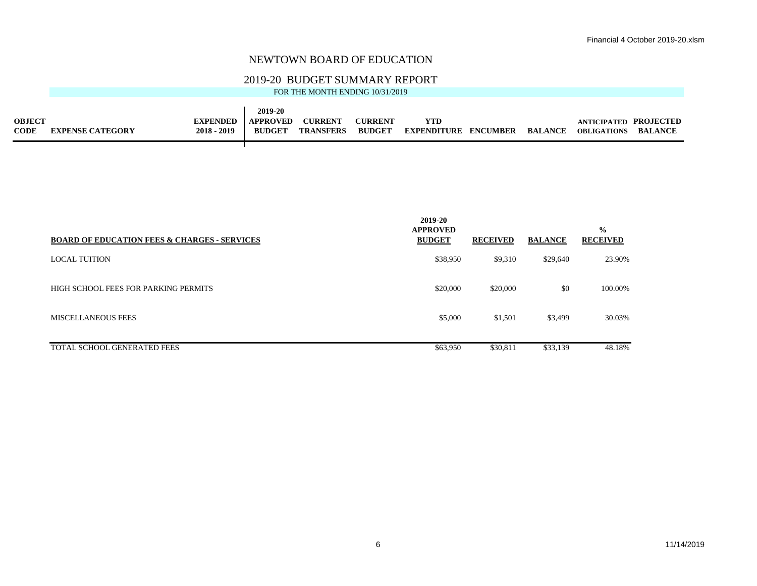#### 2019-20 BUDGET SUMMARY REPORT

|               |                         |                 | 2019-20         |                  |                |                    |                 |                |                              |         |
|---------------|-------------------------|-----------------|-----------------|------------------|----------------|--------------------|-----------------|----------------|------------------------------|---------|
| <b>OBJECT</b> |                         | <b>EXPENDED</b> | <b>APPROVED</b> | <b>CURRENT</b>   | <b>CURRENT</b> | <b>YTD</b>         |                 |                | <b>ANTICIPATED PROJECTED</b> |         |
| <b>CODE</b>   | <b>EXPENSE CATEGORY</b> | $2018 - 2019$   | <b>BUDGET</b>   | <b>TRANSFERS</b> | <b>BUDGET</b>  | <b>EXPENDITURE</b> | <b>ENCUMBER</b> | <b>BALANCE</b> | <b>OBLIGATIONS</b>           | BALANCE |
|               |                         |                 |                 |                  |                |                    |                 |                |                              |         |

| <b>BOARD OF EDUCATION FEES &amp; CHARGES - SERVICES</b> | 2019-20<br><b>APPROVED</b><br><b>BUDGET</b> | <b>RECEIVED</b> | <b>BALANCE</b> | $\frac{0}{0}$<br><b>RECEIVED</b> |
|---------------------------------------------------------|---------------------------------------------|-----------------|----------------|----------------------------------|
| <b>LOCAL TUITION</b>                                    | \$38,950                                    | \$9,310         | \$29,640       | 23.90%                           |
| HIGH SCHOOL FEES FOR PARKING PERMITS                    | \$20,000                                    | \$20,000        | \$0            | 100.00%                          |
| <b>MISCELLANEOUS FEES</b>                               | \$5,000                                     | \$1,501         | \$3,499        | 30.03%                           |
| <b>TOTAL SCHOOL GENERATED FEES</b>                      | \$63,950                                    | \$30,811        | \$33,139       | 48.18%                           |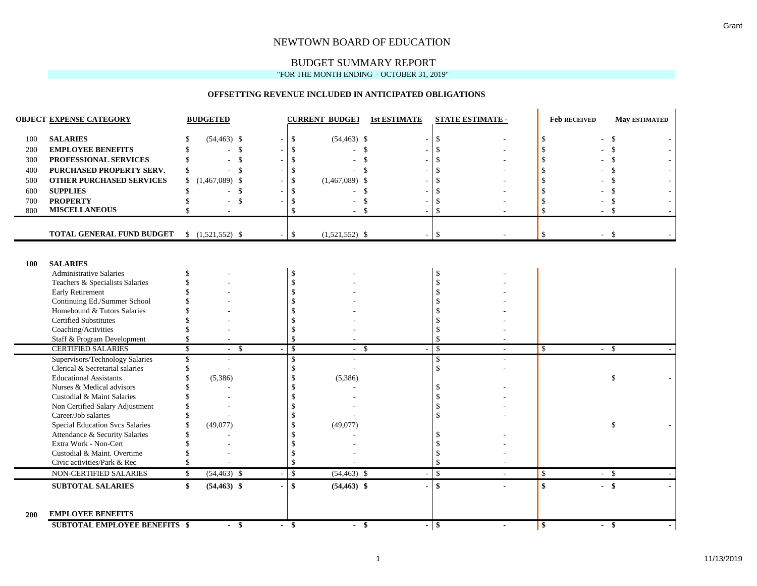### BUDGET SUMMARY REPORT

"FOR THE MONTH ENDING - OCTOBER 31, 2019"

#### **OFFSETTING REVENUE INCLUDED IN ANTICIPATED OBLIGATIONS**

|            | <b>OBJECT EXPENSE CATEGORY</b>                                   | <b>BUDGETED</b>                           |                    | <b>CURRENT BUDGET</b>   | <b>1st ESTIMATE</b>      | <b>STATE ESTIMATE -</b>                   | <b>Feb RECEIVED</b> | <b>May ESTIMATED</b> |
|------------|------------------------------------------------------------------|-------------------------------------------|--------------------|-------------------------|--------------------------|-------------------------------------------|---------------------|----------------------|
| 100        | <b>SALARIES</b>                                                  | $(54, 463)$ \$                            | \$                 | $(54, 463)$ \$          | $\overline{\phantom{a}}$ | $\mathcal{S}$                             |                     | $\mathcal{S}$        |
| 200        | <b>EMPLOYEE BENEFITS</b>                                         | \$                                        |                    | $\mathbb{S}$            |                          | $\mathcal{S}$                             |                     | $\mathcal{S}$        |
| 300        | PROFESSIONAL SERVICES                                            | $\mathcal{S}$                             |                    | \$                      |                          | $\mathcal{S}$                             |                     |                      |
| 400        | PURCHASED PROPERTY SERV.                                         | $\mathcal{S}$<br>\$                       |                    | $\mathcal{S}$           |                          | <sup>\$</sup>                             |                     |                      |
| 500        | <b>OTHER PURCHASED SERVICES</b>                                  | $(1,467,089)$ \$<br>\$                    |                    | $(1,467,089)$ \$        |                          | <sup>\$</sup>                             |                     |                      |
| 600        | <b>SUPPLIES</b>                                                  | $\mathbf{\hat{S}}$                        |                    | $\mathbf{\$}$           |                          | $\mathcal{S}$                             |                     |                      |
| 700        | <b>PROPERTY</b>                                                  | \$                                        |                    | \$                      |                          | $\mathcal{S}$                             |                     | <sup>\$</sup>        |
| 800        | <b>MISCELLANEOUS</b>                                             |                                           | \$                 | $\mathcal{S}$           |                          | $\mathcal{S}$                             | $\mathbf{\hat{S}}$  | -\$                  |
|            |                                                                  |                                           |                    |                         |                          |                                           |                     |                      |
|            | TOTAL GENERAL FUND BUDGET                                        | $$(1,521,552)$ \$                         | $\mathcal{S}$      | $(1,521,552)$ \$        | ÷.                       | $\mathcal{S}$                             | \$                  | $-$ \$               |
|            |                                                                  |                                           |                    |                         |                          |                                           |                     |                      |
| <b>100</b> | <b>SALARIES</b>                                                  |                                           |                    |                         |                          |                                           |                     |                      |
|            | <b>Administrative Salaries</b>                                   |                                           | \$                 |                         |                          | -\$                                       |                     |                      |
|            | Teachers & Specialists Salaries                                  |                                           | $\mathcal{S}$      |                         |                          | <sup>\$</sup>                             |                     |                      |
|            | Early Retirement                                                 |                                           |                    |                         |                          |                                           |                     |                      |
|            | Continuing Ed./Summer School                                     |                                           |                    |                         |                          |                                           |                     |                      |
|            | Homebound & Tutors Salaries                                      |                                           |                    |                         |                          |                                           |                     |                      |
|            | <b>Certified Substitutes</b>                                     |                                           |                    |                         |                          |                                           |                     |                      |
|            | Coaching/Activities                                              |                                           |                    |                         |                          |                                           |                     |                      |
|            | Staff & Program Development                                      | \$                                        | $\mathcal{S}$      |                         |                          | \$                                        |                     |                      |
|            | <b>CERTIFIED SALARIES</b>                                        | $\overline{\mathcal{S}}$<br>-\$<br>$\sim$ | $\mathcal{S}$      | <sup>\$</sup><br>$\sim$ |                          | $\mathcal{S}$<br>$\sim$                   | \$<br>$\sim$        | -\$                  |
|            | Supervisors/Technology Salaries                                  | \$                                        | <sup>\$</sup>      |                         |                          | <sup>\$</sup>                             |                     |                      |
|            | Clerical & Secretarial salaries                                  |                                           |                    |                         |                          | $\mathbf{\hat{S}}$                        |                     |                      |
|            | <b>Educational Assistants</b>                                    | (5,386)                                   |                    | (5,386)                 |                          |                                           |                     | $\mathcal{S}$        |
|            | Nurses & Medical advisors                                        |                                           |                    |                         |                          |                                           |                     |                      |
|            | Custodial & Maint Salaries                                       |                                           |                    |                         |                          |                                           |                     |                      |
|            | Non Certified Salary Adjustment                                  |                                           |                    |                         |                          |                                           |                     |                      |
|            | Career/Job salaries                                              |                                           |                    |                         |                          |                                           |                     |                      |
|            | <b>Special Education Svcs Salaries</b>                           | (49,077)                                  |                    | (49,077)                |                          |                                           |                     | \$                   |
|            | Attendance & Security Salaries<br>Extra Work - Non-Cert          |                                           |                    |                         |                          |                                           |                     |                      |
|            | Custodial & Maint. Overtime                                      |                                           |                    |                         |                          |                                           |                     |                      |
|            | Civic activities/Park & Rec                                      |                                           |                    |                         |                          | \$                                        |                     |                      |
|            | NON-CERTIFIED SALARIES                                           | $(54, 463)$ \$<br>\$                      | $\mathbf{\hat{S}}$ | $(54, 463)$ \$          |                          | $\mathcal{S}$<br>$\overline{\phantom{a}}$ | $\mathcal{S}$       | $-$ \$               |
|            |                                                                  |                                           |                    |                         |                          |                                           |                     |                      |
|            | <b>SUBTOTAL SALARIES</b>                                         | \$<br>$(54, 463)$ \$                      | $\mathbf{s}$       | $(54, 463)$ \$          | $\overline{\phantom{0}}$ | $\mathbf{s}$                              | \$                  | $-$ \$               |
| <b>200</b> | <b>EMPLOYEE BENEFITS</b><br><b>SUBTOTAL EMPLOYEE BENEFITS \$</b> | $-$ \$                                    | $-$ \$             | $-$ \$                  |                          | $-$ \$<br>$\blacksquare$                  | $\mathbf{s}$        | - \$                 |

 $\blacksquare$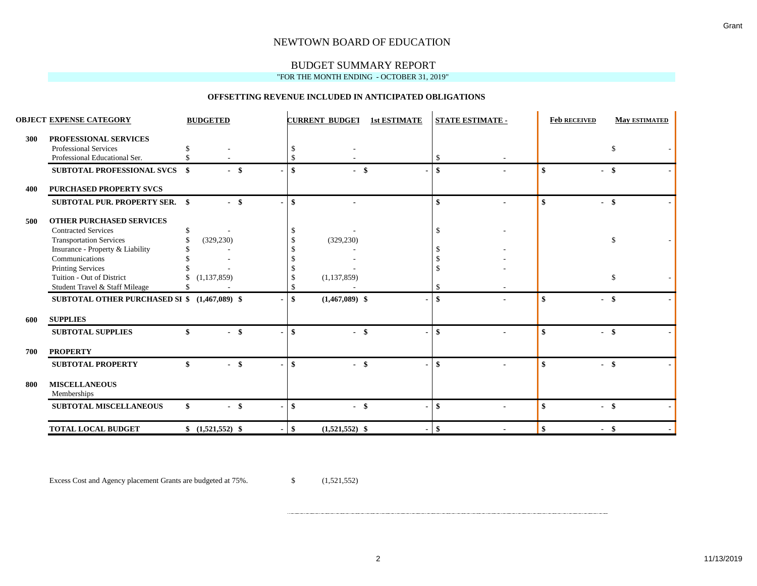# BUDGET SUMMARY REPORT

#### "FOR THE MONTH ENDING - OCTOBER 31, 2019"

#### **OFFSETTING REVENUE INCLUDED IN ANTICIPATED OBLIGATIONS**

|     | <b>OBJECT EXPENSE CATEGORY</b>                | <b>BUDGETED</b>    | <b>CURRENT BUDGET</b><br><b>1st ESTIMATE</b> | STATE ESTIMATE - | <b>Feb RECEIVED</b><br><b>May ESTIMATED</b> |
|-----|-----------------------------------------------|--------------------|----------------------------------------------|------------------|---------------------------------------------|
| 300 | PROFESSIONAL SERVICES                         |                    |                                              |                  |                                             |
|     | Professional Services                         |                    |                                              |                  | \$                                          |
|     | Professional Educational Ser.                 |                    |                                              |                  |                                             |
|     | <b>SUBTOTAL PROFESSIONAL SVCS</b>             | -\$<br>$-$ \$      | $-$ \$                                       | \$               | \$<br>- \$                                  |
| 400 | <b>PURCHASED PROPERTY SVCS</b>                |                    |                                              |                  |                                             |
|     | <b>SUBTOTAL PUR. PROPERTY SER. \$</b>         | $-$ \$             | \$                                           | \$               | $-$ \$<br>\$                                |
| 500 | <b>OTHER PURCHASED SERVICES</b>               |                    |                                              |                  |                                             |
|     | <b>Contracted Services</b>                    |                    |                                              |                  |                                             |
|     | <b>Transportation Services</b>                | (329, 230)         | (329, 230)                                   |                  | \$                                          |
|     | Insurance - Property & Liability              |                    |                                              |                  |                                             |
|     | Communications                                |                    |                                              |                  |                                             |
|     | <b>Printing Services</b>                      |                    |                                              |                  |                                             |
|     | Tuition - Out of District                     | (1, 137, 859)      | (1, 137, 859)                                |                  | S.                                          |
|     | Student Travel & Staff Mileage                |                    |                                              |                  |                                             |
|     | SUBTOTAL OTHER PURCHASED SI \$ (1,467,089) \$ |                    | $(1,467,089)$ \$                             | \$               | \$<br>- \$                                  |
| 600 | <b>SUPPLIES</b>                               |                    |                                              |                  |                                             |
|     | <b>SUBTOTAL SUPPLIES</b>                      | \$<br>$\sim$       | $-$ \$                                       | \$               | $-$ \$<br>\$                                |
| 700 | <b>PROPERTY</b>                               |                    |                                              |                  |                                             |
|     | <b>SUBTOTAL PROPERTY</b>                      | \$<br>- \$         | $-$ \$<br>\$                                 | \$               | $-$ \$<br>\$                                |
| 800 | <b>MISCELLANEOUS</b><br>Memberships           |                    |                                              |                  |                                             |
|     | <b>SUBTOTAL MISCELLANEOUS</b>                 | \$<br>\$<br>$\sim$ | $-$ \$<br>\$                                 | \$               | $-$ \$<br>\$                                |
|     | <b>TOTAL LOCAL BUDGET</b>                     | $$(1,521,552)$ \$  | $(1,521,552)$ \$<br>-\$                      | -\$              | $\mathbf{s}$<br>- \$                        |

Excess Cost and Agency placement Grants are budgeted at 75%. \$ (1,521,552)

2 11/13/2019

Grant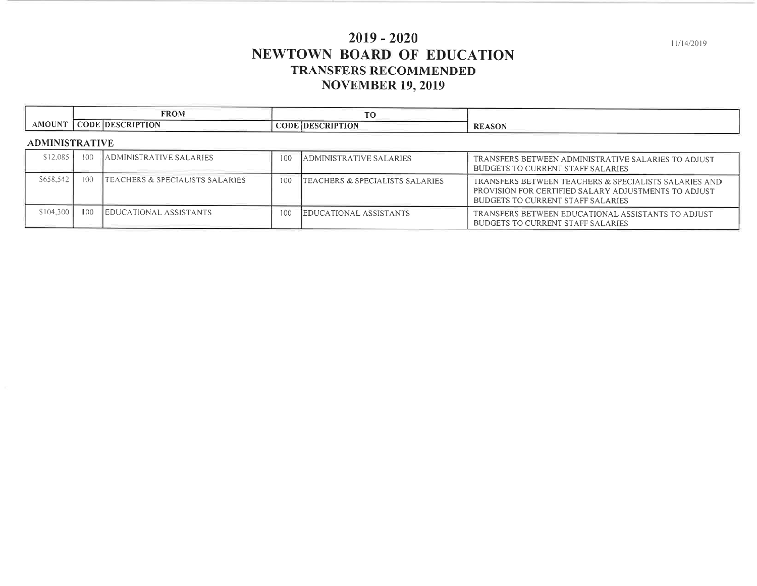# $2019 - 2020$ NEWTOWN BOARD OF EDUCATION **TRANSFERS RECOMMENDED NOVEMBER 19, 2019**

|               | <b>FROM</b>                             | m o<br>$\cdot$                                                     |                                    |
|---------------|-----------------------------------------|--------------------------------------------------------------------|------------------------------------|
| <b>AMOUNT</b> | $\cap$ ODE.<br><b>SCRIPTION</b><br>IDES | $\sim$<br>$\cdots$<br>$_{\rm 5CRIP}^{-1}$<br>$\sim$ ሥር IDFና $\sim$ | <b>DO</b><br>$\sim$<br>ASUL.<br>RЕ |
|               |                                         |                                                                    |                                    |

### **ADMINISTRATIVE**

| $$12.085$ <sup>T</sup> | -100 | ADMINISTRATIVE SALARIES         | 100 | <b>JADMINISTRATIVE SALARIES</b>            | TRANSFERS BETWEEN ADMINISTRATIVE SALARIES TO ADJUST<br>BUDGETS TO CURRENT STAFF SALARIES                                                                  |
|------------------------|------|---------------------------------|-----|--------------------------------------------|-----------------------------------------------------------------------------------------------------------------------------------------------------------|
| \$658,542              | 100  | TEACHERS & SPECIALISTS SALARIES | 100 | <b>TEACHERS &amp; SPECIALISTS SALARIES</b> | TRANSFERS BETWEEN TEACHERS & SPECIALISTS SALARIES AND<br>PROVISION FOR CERTIFIED SALARY ADJUSTMENTS TO ADJUST<br><b>BUDGETS TO CURRENT STAFF SALARIES</b> |
| \$104.300              | 100  | <b>EDUCATIONAL ASSISTANTS</b>   | 100 | <b>IEDUCATIONAL ASSISTANTS</b>             | TRANSFERS BETWEEN EDUCATIONAL ASSISTANTS TO ADJUST<br><b>BUDGETS TO CURRENT STAFF SALARIES</b>                                                            |

11/14/2019